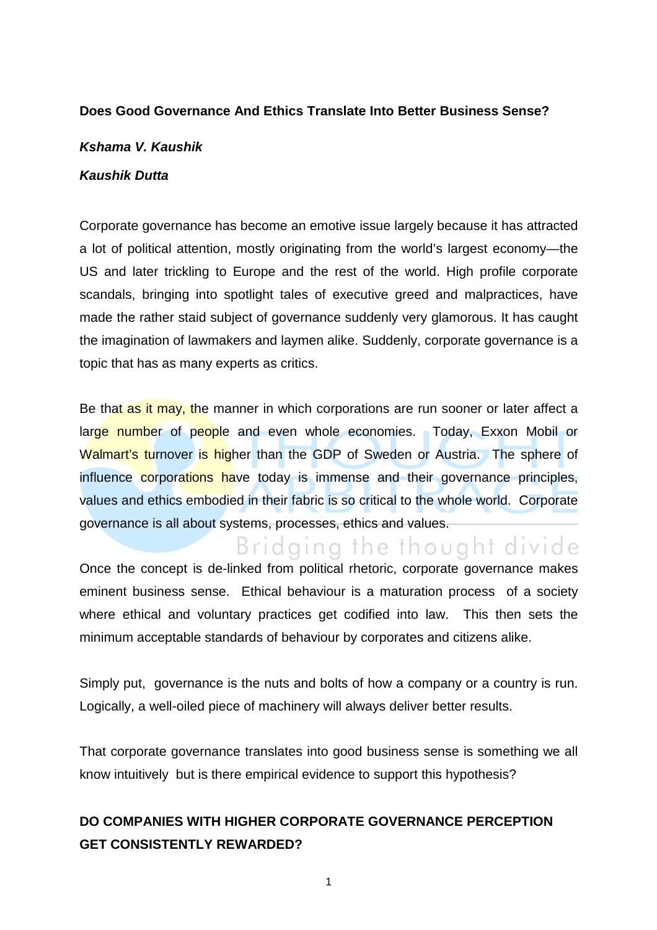#### **Does Good Governance And Ethics Translate Into Better Business Sense?**

#### **Kshama V. Kaushik**

#### **Kaushik Dutta**

Corporate governance has become an emotive issue largely because it has attracted a lot of political attention, mostly originating from the world's largest economy—the US and later trickling to Europe and the rest of the world. High profile corporate scandals, bringing into spotlight tales of executive greed and malpractices, have made the rather staid subject of governance suddenly very glamorous. It has caught the imagination of lawmakers and laymen alike. Suddenly, corporate governance is a topic that has as many experts as critics.

Be that as it may, the manner in which corporations are run sooner or later affect a large number of people and even whole economies. Today, Exxon Mobil or Walmart's turnover is higher than the GDP of Sweden or Austria. The sphere of influence corporations have today is immense and their governance principles, values and ethics embodied in their fabric is so critical to the whole world. Corporate governance is all about systems, processes, ethics and values.

## Bridging the thought divide

Once the concept is de-linked from political rhetoric, corporate governance makes eminent business sense. Ethical behaviour is a maturation process of a society where ethical and voluntary practices get codified into law. This then sets the minimum acceptable standards of behaviour by corporates and citizens alike.

Simply put, governance is the nuts and bolts of how a company or a country is run. Logically, a well-oiled piece of machinery will always deliver better results.

That corporate governance translates into good business sense is something we all know intuitively but is there empirical evidence to support this hypothesis?

### **DO COMPANIES WITH HIGHER CORPORATE GOVERNANCE PERCEPTION GET CONSISTENTLY REWARDED?**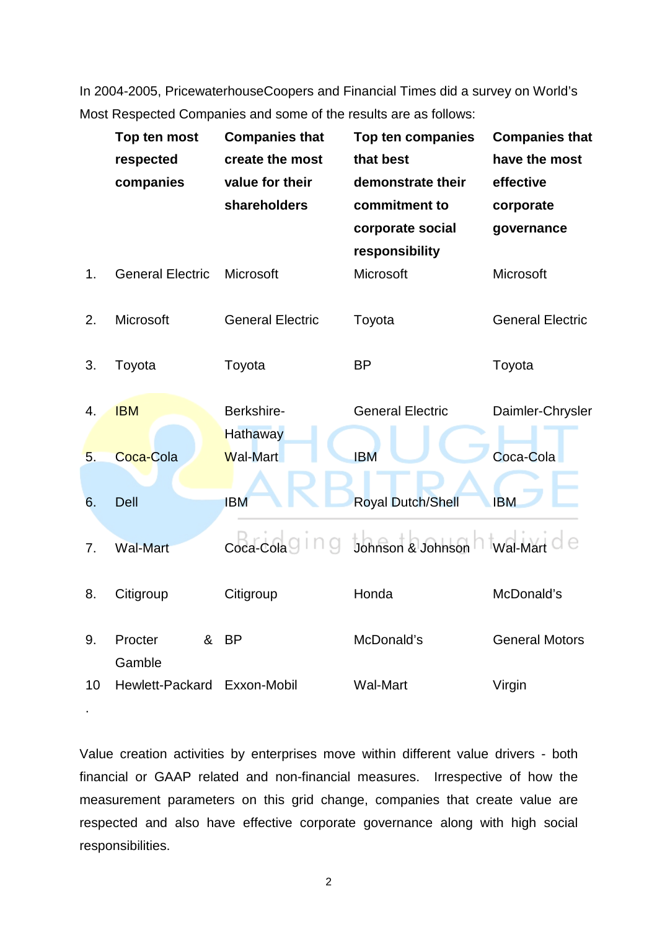In 2004-2005, PricewaterhouseCoopers and Financial Times did a survey on World's Most Respected Companies and some of the results are as follows:

|    | Top ten most            | <b>Companies that</b>   | Top ten companies        | <b>Companies that</b>   |
|----|-------------------------|-------------------------|--------------------------|-------------------------|
|    | respected               | create the most         | that best                | have the most           |
|    | companies               | value for their         | demonstrate their        | effective               |
|    |                         | shareholders            | commitment to            | corporate               |
|    |                         |                         | corporate social         | governance              |
|    |                         |                         | responsibility           |                         |
| 1. | <b>General Electric</b> | Microsoft               | Microsoft                | Microsoft               |
| 2. | Microsoft               | <b>General Electric</b> | Toyota                   | <b>General Electric</b> |
|    |                         |                         |                          |                         |
| 3. | Toyota                  | Toyota                  | <b>BP</b>                | Toyota                  |
|    |                         |                         |                          |                         |
| 4. | <b>IBM</b>              | Berkshire-              | <b>General Electric</b>  | Daimler-Chrysler        |
|    |                         | <b>Hathaway</b>         |                          |                         |
| 5. | Coca-Cola               | Wal-Mart                | <b>IBM</b>               | Coca-Cola               |
| 6. | <b>Dell</b>             | <b>IBM</b>              | <b>Royal Dutch/Shell</b> | <b>IBM</b>              |
|    |                         |                         |                          |                         |
| 7. | <b>Wal-Mart</b>         | Coca-Cola               | Johnson & Johnson        | <b>Wal-Mart</b>         |
| 8. | Citigroup               | Citigroup               | Honda                    | McDonald's              |
|    |                         |                         |                          |                         |
| 9. | &<br>Procter            | <b>BP</b>               | McDonald's               | <b>General Motors</b>   |
|    | Gamble                  |                         |                          |                         |
| 10 | Hewlett-Packard         | Exxon-Mobil             | <b>Wal-Mart</b>          | Virgin                  |

Value creation activities by enterprises move within different value drivers - both financial or GAAP related and non-financial measures. Irrespective of how the measurement parameters on this grid change, companies that create value are respected and also have effective corporate governance along with high social responsibilities.

.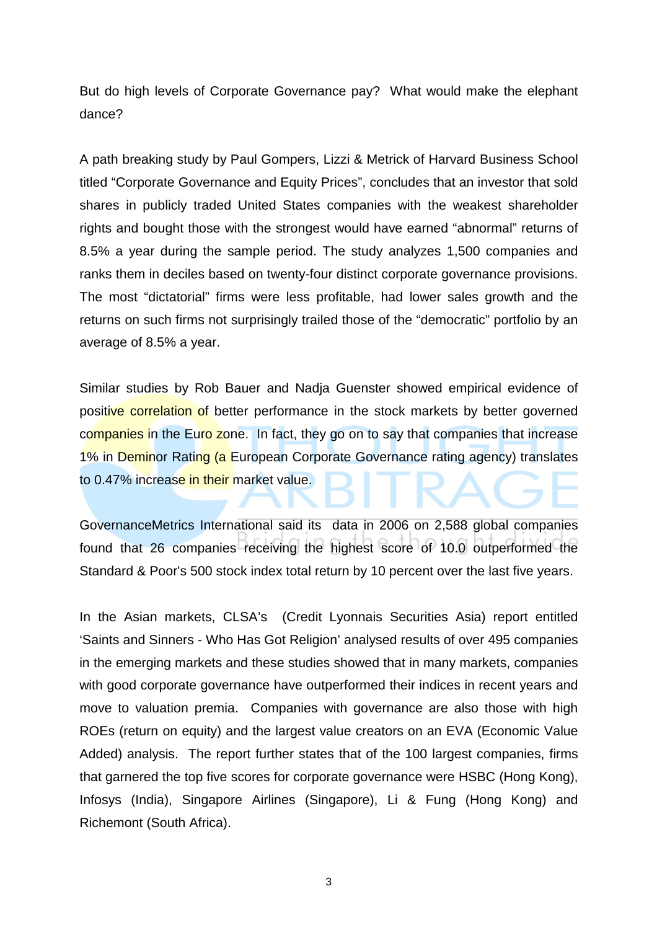But do high levels of Corporate Governance pay? What would make the elephant dance?

A path breaking study by Paul Gompers, Lizzi & Metrick of Harvard Business School titled "Corporate Governance and Equity Prices", concludes that an investor that sold shares in publicly traded United States companies with the weakest shareholder rights and bought those with the strongest would have earned "abnormal" returns of 8.5% a year during the sample period. The study analyzes 1,500 companies and ranks them in deciles based on twenty-four distinct corporate governance provisions. The most "dictatorial" firms were less profitable, had lower sales growth and the returns on such firms not surprisingly trailed those of the "democratic" portfolio by an average of 8.5% a year.

Similar studies by Rob Bauer and Nadja Guenster showed empirical evidence of positive correlation of better performance in the stock markets by better governed companies in the Euro zone. In fact, they go on to say that companies that increase 1% in Deminor Rating (a European Corporate Governance rating agency) translates to 0.47% increase in their market value.

GovernanceMetrics International said its data in 2006 on 2,588 global companies found that 26 companies receiving the highest score of 10.0 outperformed the Standard & Poor's 500 stock index total return by 10 percent over the last five years.

In the Asian markets, CLSA's (Credit Lyonnais Securities Asia) report entitled 'Saints and Sinners - Who Has Got Religion' analysed results of over 495 companies in the emerging markets and these studies showed that in many markets, companies with good corporate governance have outperformed their indices in recent years and move to valuation premia. Companies with governance are also those with high ROEs (return on equity) and the largest value creators on an EVA (Economic Value Added) analysis. The report further states that of the 100 largest companies, firms that garnered the top five scores for corporate governance were HSBC (Hong Kong), Infosys (India), Singapore Airlines (Singapore), Li & Fung (Hong Kong) and Richemont (South Africa).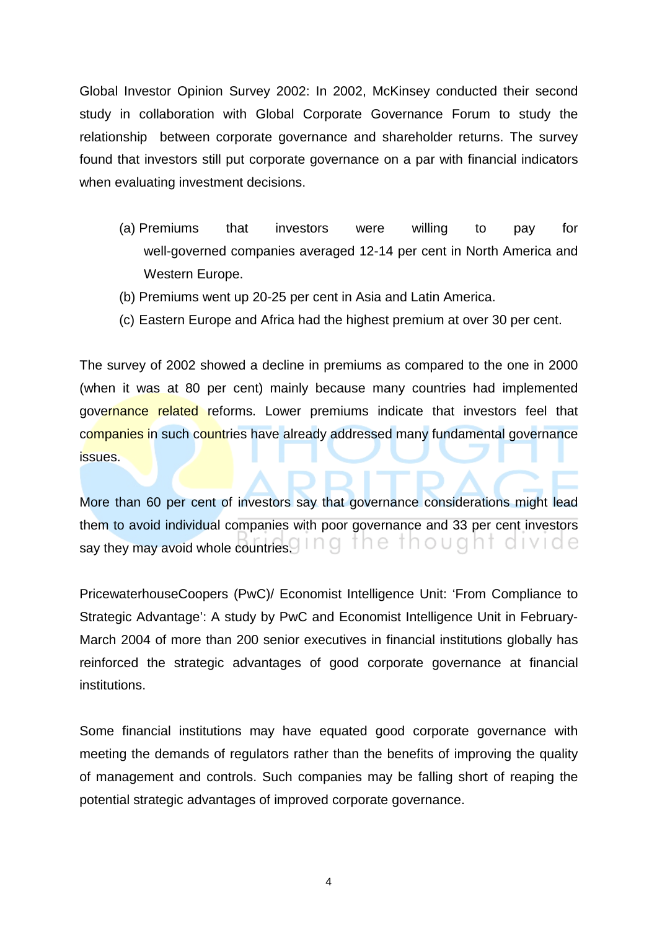Global Investor Opinion Survey 2002: In 2002, McKinsey conducted their second study in collaboration with Global Corporate Governance Forum to study the relationship between corporate governance and shareholder returns. The survey found that investors still put corporate governance on a par with financial indicators when evaluating investment decisions.

- (a) Premiums that investors were willing to pay for well-governed companies averaged 12-14 per cent in North America and Western Europe.
- (b) Premiums went up 20-25 per cent in Asia and Latin America.
- (c) Eastern Europe and Africa had the highest premium at over 30 per cent.

The survey of 2002 showed a decline in premiums as compared to the one in 2000 (when it was at 80 per cent) mainly because many countries had implemented governance related reforms. Lower premiums indicate that investors feel that companies in such countries have already addressed many fundamental governance issues.

More than 60 per cent of investors say that governance considerations might lead them to avoid individual companies with poor governance and 33 per cent investors say they may avoid whole countries. In 9 the thought divide

PricewaterhouseCoopers (PwC)/ Economist Intelligence Unit: 'From Compliance to Strategic Advantage': A study by PwC and Economist Intelligence Unit in February-March 2004 of more than 200 senior executives in financial institutions globally has reinforced the strategic advantages of good corporate governance at financial institutions.

Some financial institutions may have equated good corporate governance with meeting the demands of regulators rather than the benefits of improving the quality of management and controls. Such companies may be falling short of reaping the potential strategic advantages of improved corporate governance.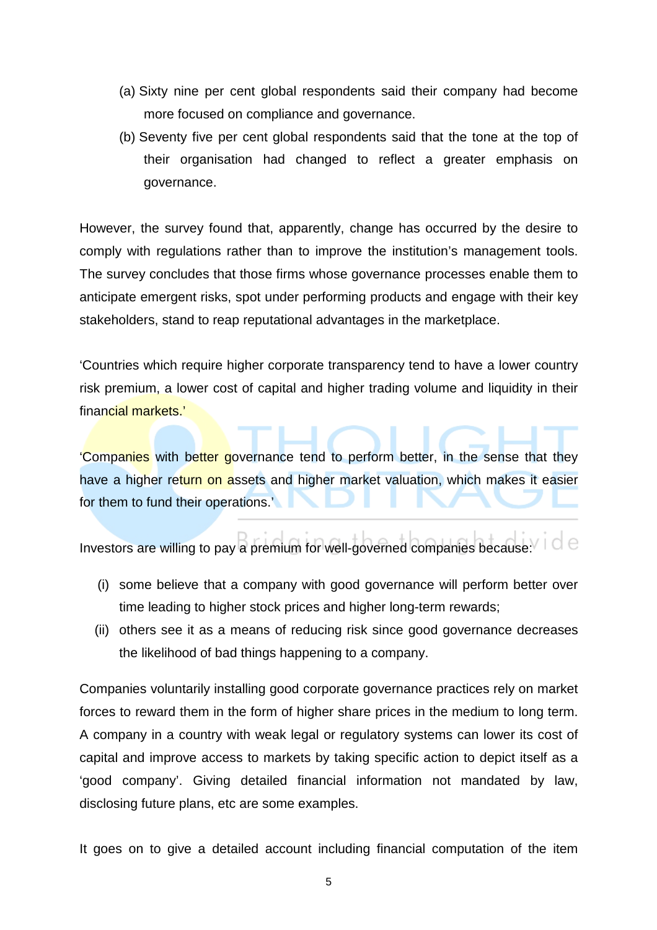- (a) Sixty nine per cent global respondents said their company had become more focused on compliance and governance.
- (b) Seventy five per cent global respondents said that the tone at the top of their organisation had changed to reflect a greater emphasis on governance.

However, the survey found that, apparently, change has occurred by the desire to comply with regulations rather than to improve the institution's management tools. The survey concludes that those firms whose governance processes enable them to anticipate emergent risks, spot under performing products and engage with their key stakeholders, stand to reap reputational advantages in the marketplace.

'Countries which require higher corporate transparency tend to have a lower country risk premium, a lower cost of capital and higher trading volume and liquidity in their financial markets.'

'Companies with better governance tend to perform better, in the sense that they have a higher return on assets and higher market valuation, which makes it easier for them to fund their operations.'

Investors are willing to pay a premium for well-governed companies because:

- (i) some believe that a company with good governance will perform better over time leading to higher stock prices and higher long-term rewards;
- (ii) others see it as a means of reducing risk since good governance decreases the likelihood of bad things happening to a company.

Companies voluntarily installing good corporate governance practices rely on market forces to reward them in the form of higher share prices in the medium to long term. A company in a country with weak legal or regulatory systems can lower its cost of capital and improve access to markets by taking specific action to depict itself as a 'good company'. Giving detailed financial information not mandated by law, disclosing future plans, etc are some examples.

It goes on to give a detailed account including financial computation of the item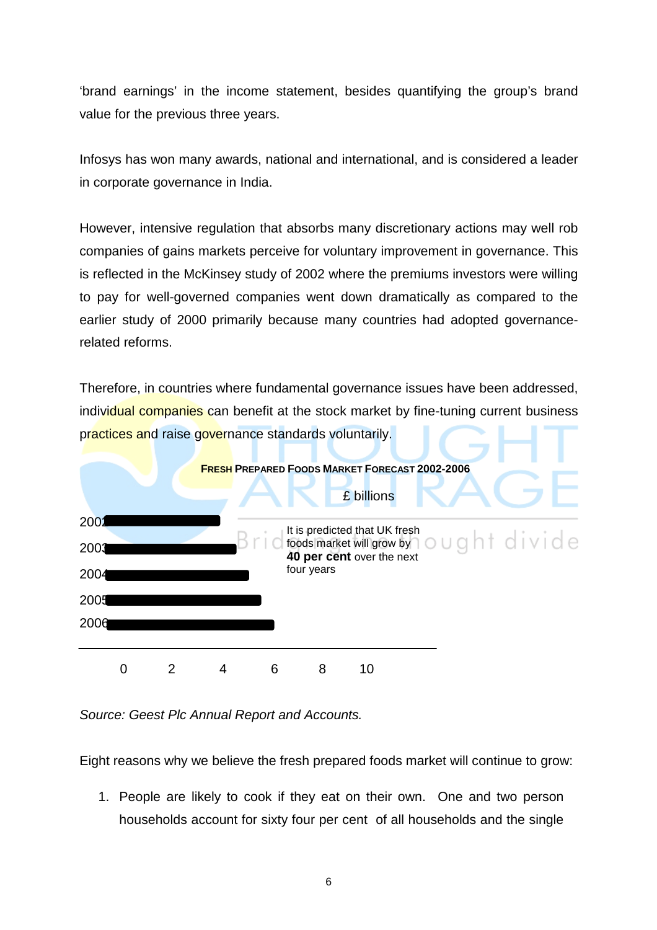'brand earnings' in the income statement, besides quantifying the group's brand value for the previous three years.

Infosys has won many awards, national and international, and is considered a leader in corporate governance in India.

However, intensive regulation that absorbs many discretionary actions may well rob companies of gains markets perceive for voluntary improvement in governance. This is reflected in the McKinsey study of 2002 where the premiums investors were willing to pay for well-governed companies went down dramatically as compared to the earlier study of 2000 primarily because many countries had adopted governancerelated reforms.

Therefore, in countries where fundamental governance issues have been addressed, individual companies can benefit at the stock market by fine-tuning current business practices and raise governance standards voluntarily.



Source: Geest Plc Annual Report and Accounts.

Eight reasons why we believe the fresh prepared foods market will continue to grow:

 1. People are likely to cook if they eat on their own. One and two person households account for sixty four per cent of all households and the single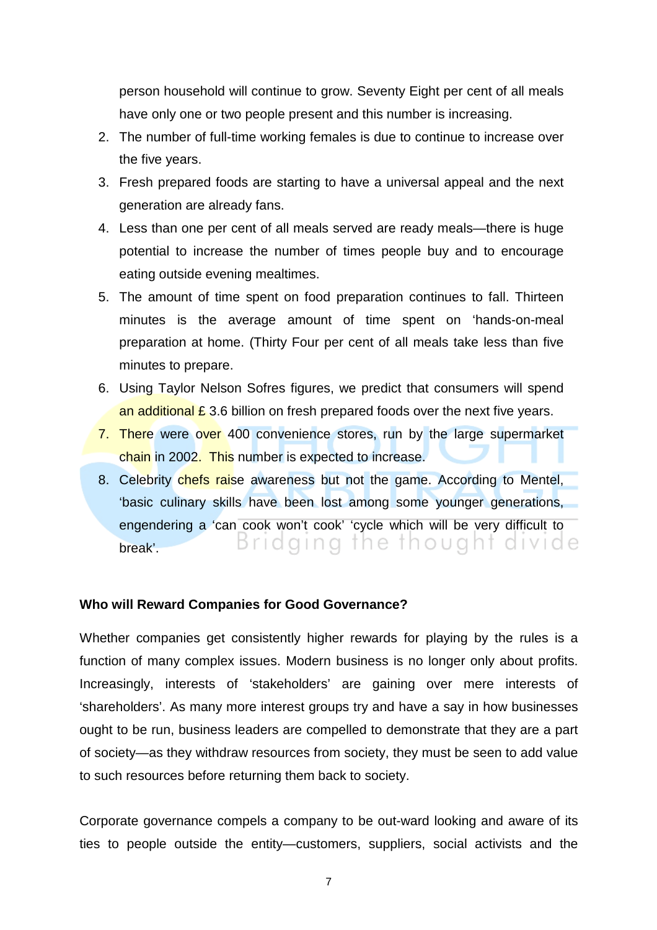person household will continue to grow. Seventy Eight per cent of all meals have only one or two people present and this number is increasing.

- 2. The number of full-time working females is due to continue to increase over the five years.
- 3. Fresh prepared foods are starting to have a universal appeal and the next generation are already fans.
- 4. Less than one per cent of all meals served are ready meals—there is huge potential to increase the number of times people buy and to encourage eating outside evening mealtimes.
- 5. The amount of time spent on food preparation continues to fall. Thirteen minutes is the average amount of time spent on 'hands-on-meal preparation at home. (Thirty Four per cent of all meals take less than five minutes to prepare.
- 6. Using Taylor Nelson Sofres figures, we predict that consumers will spend an additional  $\epsilon$  3.6 billion on fresh prepared foods over the next five years.
- 7. There were over 400 convenience stores, run by the large supermarket chain in 2002. This number is expected to increase.
- 8. Celebrity chefs raise awareness but not the game. According to Mentel, 'basic culinary skills have been lost among some younger generations, engendering a 'can cook won't cook' 'cycle which will be very difficult to Bridging the thought divide break'.

#### **Who will Reward Companies for Good Governance?**

Whether companies get consistently higher rewards for playing by the rules is a function of many complex issues. Modern business is no longer only about profits. Increasingly, interests of 'stakeholders' are gaining over mere interests of 'shareholders'. As many more interest groups try and have a say in how businesses ought to be run, business leaders are compelled to demonstrate that they are a part of society—as they withdraw resources from society, they must be seen to add value to such resources before returning them back to society.

Corporate governance compels a company to be out-ward looking and aware of its ties to people outside the entity—customers, suppliers, social activists and the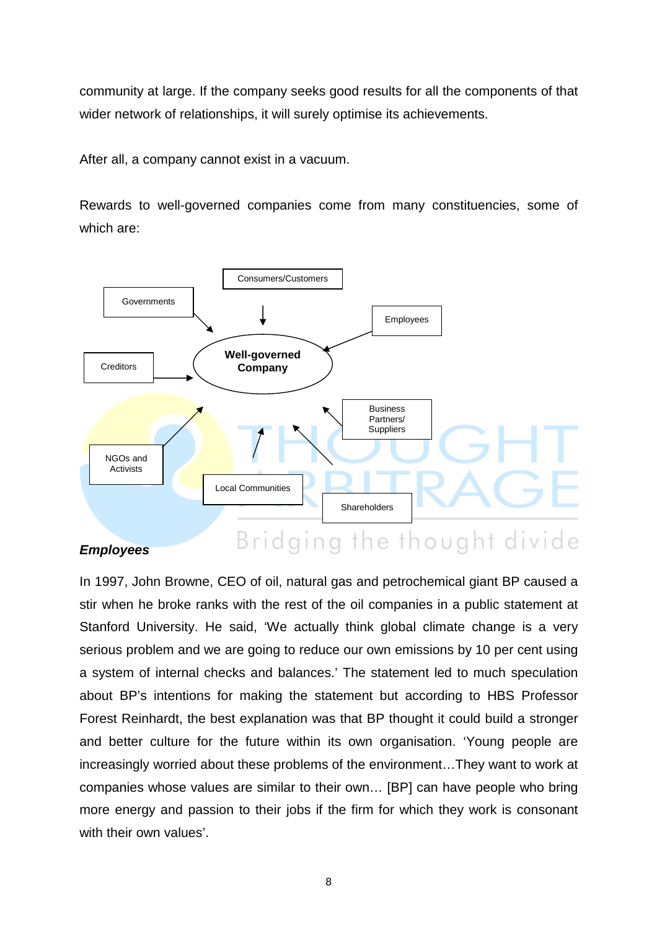community at large. If the company seeks good results for all the components of that wider network of relationships, it will surely optimise its achievements.

After all, a company cannot exist in a vacuum.

Rewards to well-governed companies come from many constituencies, some of which are:



#### **Employees**

Bridging the thought divide

In 1997, John Browne, CEO of oil, natural gas and petrochemical giant BP caused a stir when he broke ranks with the rest of the oil companies in a public statement at Stanford University. He said, 'We actually think global climate change is a very serious problem and we are going to reduce our own emissions by 10 per cent using a system of internal checks and balances.' The statement led to much speculation about BP's intentions for making the statement but according to HBS Professor Forest Reinhardt, the best explanation was that BP thought it could build a stronger and better culture for the future within its own organisation. 'Young people are increasingly worried about these problems of the environment…They want to work at companies whose values are similar to their own… [BP] can have people who bring more energy and passion to their jobs if the firm for which they work is consonant with their own values'.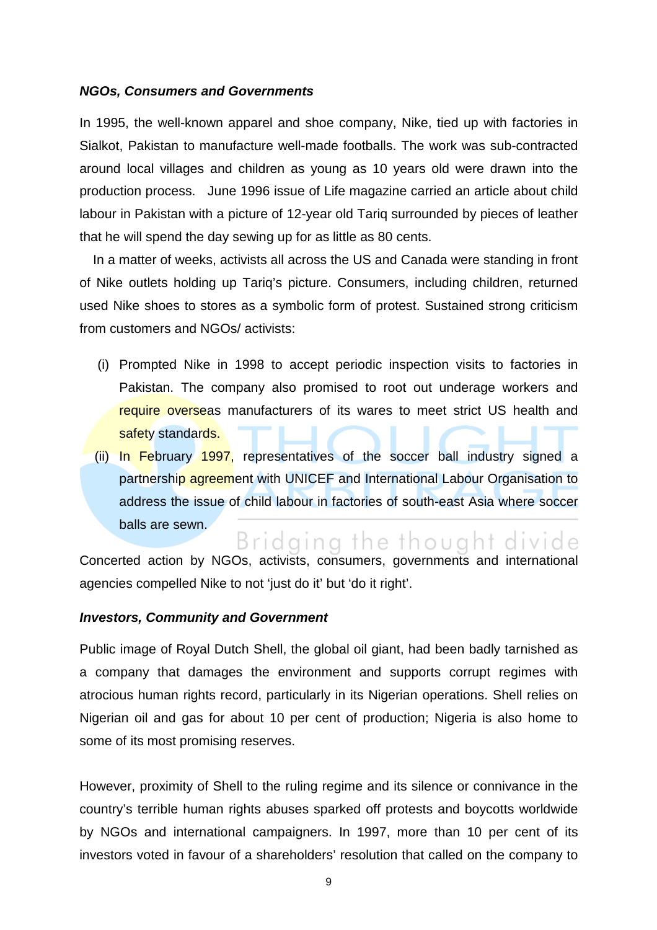#### **NGOs, Consumers and Governments**

In 1995, the well-known apparel and shoe company, Nike, tied up with factories in Sialkot, Pakistan to manufacture well-made footballs. The work was sub-contracted around local villages and children as young as 10 years old were drawn into the production process. June 1996 issue of Life magazine carried an article about child labour in Pakistan with a picture of 12-year old Tariq surrounded by pieces of leather that he will spend the day sewing up for as little as 80 cents.

In a matter of weeks, activists all across the US and Canada were standing in front of Nike outlets holding up Tariq's picture. Consumers, including children, returned used Nike shoes to stores as a symbolic form of protest. Sustained strong criticism from customers and NGOs/ activists:

- (i) Prompted Nike in 1998 to accept periodic inspection visits to factories in Pakistan. The company also promised to root out underage workers and require overseas manufacturers of its wares to meet strict US health and safety standards.
- (ii) In February 1997, representatives of the soccer ball industry signed a partnership agreement with UNICEF and International Labour Organisation to address the issue of child labour in factories of south-east Asia where soccer balls are sewn.

Bridging the thought divide Concerted action by NGOs, activists, consumers, governments and international agencies compelled Nike to not 'just do it' but 'do it right'.

#### **Investors, Community and Government**

Public image of Royal Dutch Shell, the global oil giant, had been badly tarnished as a company that damages the environment and supports corrupt regimes with atrocious human rights record, particularly in its Nigerian operations. Shell relies on Nigerian oil and gas for about 10 per cent of production; Nigeria is also home to some of its most promising reserves.

However, proximity of Shell to the ruling regime and its silence or connivance in the country's terrible human rights abuses sparked off protests and boycotts worldwide by NGOs and international campaigners. In 1997, more than 10 per cent of its investors voted in favour of a shareholders' resolution that called on the company to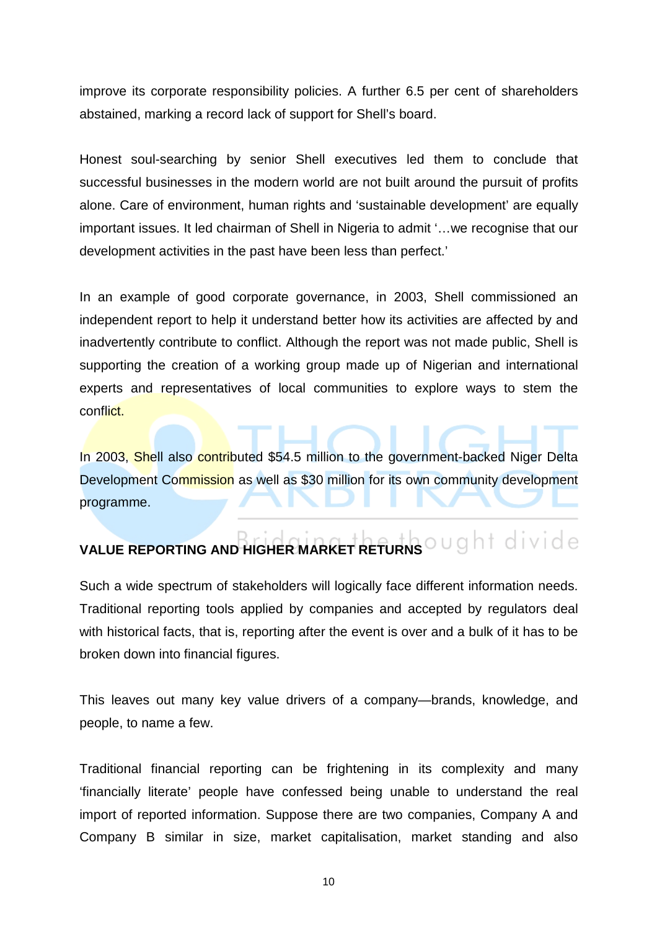improve its corporate responsibility policies. A further 6.5 per cent of shareholders abstained, marking a record lack of support for Shell's board.

Honest soul-searching by senior Shell executives led them to conclude that successful businesses in the modern world are not built around the pursuit of profits alone. Care of environment, human rights and 'sustainable development' are equally important issues. It led chairman of Shell in Nigeria to admit '…we recognise that our development activities in the past have been less than perfect.'

In an example of good corporate governance, in 2003, Shell commissioned an independent report to help it understand better how its activities are affected by and inadvertently contribute to conflict. Although the report was not made public, Shell is supporting the creation of a working group made up of Nigerian and international experts and representatives of local communities to explore ways to stem the conflict.

In 2003, Shell also contributed \$54.5 million to the government-backed Niger Delta Development Commission as well as \$30 million for its own community development programme.

# **VALUE REPORTING AND HIGHER MARKET RETURNS**

Such a wide spectrum of stakeholders will logically face different information needs. Traditional reporting tools applied by companies and accepted by regulators deal with historical facts, that is, reporting after the event is over and a bulk of it has to be broken down into financial figures.

This leaves out many key value drivers of a company—brands, knowledge, and people, to name a few.

Traditional financial reporting can be frightening in its complexity and many 'financially literate' people have confessed being unable to understand the real import of reported information. Suppose there are two companies, Company A and Company B similar in size, market capitalisation, market standing and also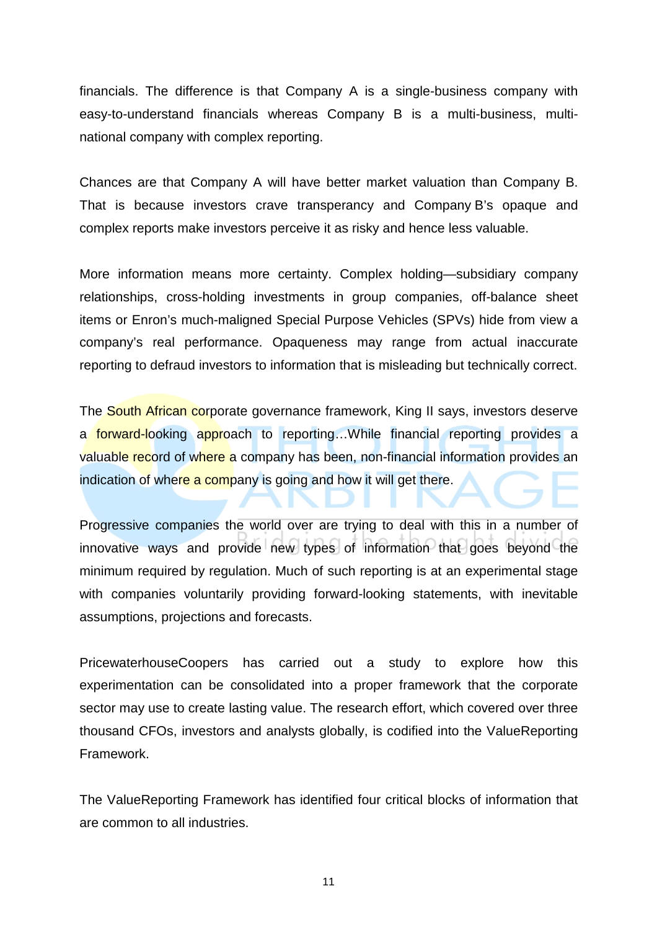financials. The difference is that Company A is a single-business company with easy-to-understand financials whereas Company B is a multi-business, multinational company with complex reporting.

Chances are that Company A will have better market valuation than Company B. That is because investors crave transperancy and Company B's opaque and complex reports make investors perceive it as risky and hence less valuable.

More information means more certainty. Complex holding—subsidiary company relationships, cross-holding investments in group companies, off-balance sheet items or Enron's much-maligned Special Purpose Vehicles (SPVs) hide from view a company's real performance. Opaqueness may range from actual inaccurate reporting to defraud investors to information that is misleading but technically correct.

The South African corporate governance framework, King II says, investors deserve a forward-looking approach to reporting...While financial reporting provides a valuable record of where a company has been, non-financial information provides an indication of where a company is going and how it will get there.

Progressive companies the world over are trying to deal with this in a number of innovative ways and provide new types of information that goes beyond the minimum required by regulation. Much of such reporting is at an experimental stage with companies voluntarily providing forward-looking statements, with inevitable assumptions, projections and forecasts.

PricewaterhouseCoopers has carried out a study to explore how this experimentation can be consolidated into a proper framework that the corporate sector may use to create lasting value. The research effort, which covered over three thousand CFOs, investors and analysts globally, is codified into the ValueReporting Framework.

The ValueReporting Framework has identified four critical blocks of information that are common to all industries.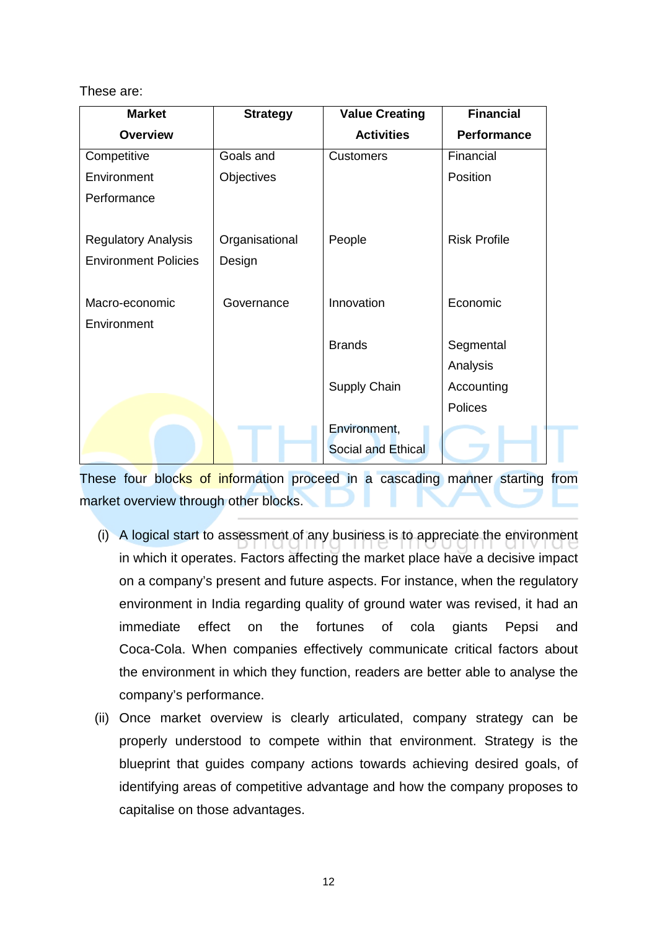These are:

| <b>Market</b>                 | <b>Strategy</b> | <b>Value Creating</b>     | <b>Financial</b>    |
|-------------------------------|-----------------|---------------------------|---------------------|
| <b>Overview</b>               |                 | <b>Activities</b>         | <b>Performance</b>  |
| Competitive                   | Goals and       | <b>Customers</b>          | Financial           |
| Environment                   | Objectives      |                           | Position            |
| Performance                   |                 |                           |                     |
| <b>Regulatory Analysis</b>    | Organisational  | People                    | <b>Risk Profile</b> |
| <b>Environment Policies</b>   | Design          |                           |                     |
| Macro-economic<br>Environment | Governance      | Innovation                | Economic            |
|                               |                 | <b>Brands</b>             | Segmental           |
|                               |                 |                           | Analysis            |
|                               |                 | Supply Chain              | Accounting          |
|                               |                 |                           | <b>Polices</b>      |
|                               |                 | Environment,              |                     |
|                               |                 | <b>Social and Ethical</b> |                     |

These four blocks of information proceed in a cascading manner starting from market overview through other blocks.

- (i) A logical start to assessment of any business is to appreciate the environment in which it operates. Factors affecting the market place have a decisive impact on a company's present and future aspects. For instance, when the regulatory environment in India regarding quality of ground water was revised, it had an immediate effect on the fortunes of cola giants Pepsi and Coca-Cola. When companies effectively communicate critical factors about the environment in which they function, readers are better able to analyse the company's performance.
- (ii) Once market overview is clearly articulated, company strategy can be properly understood to compete within that environment. Strategy is the blueprint that guides company actions towards achieving desired goals, of identifying areas of competitive advantage and how the company proposes to capitalise on those advantages.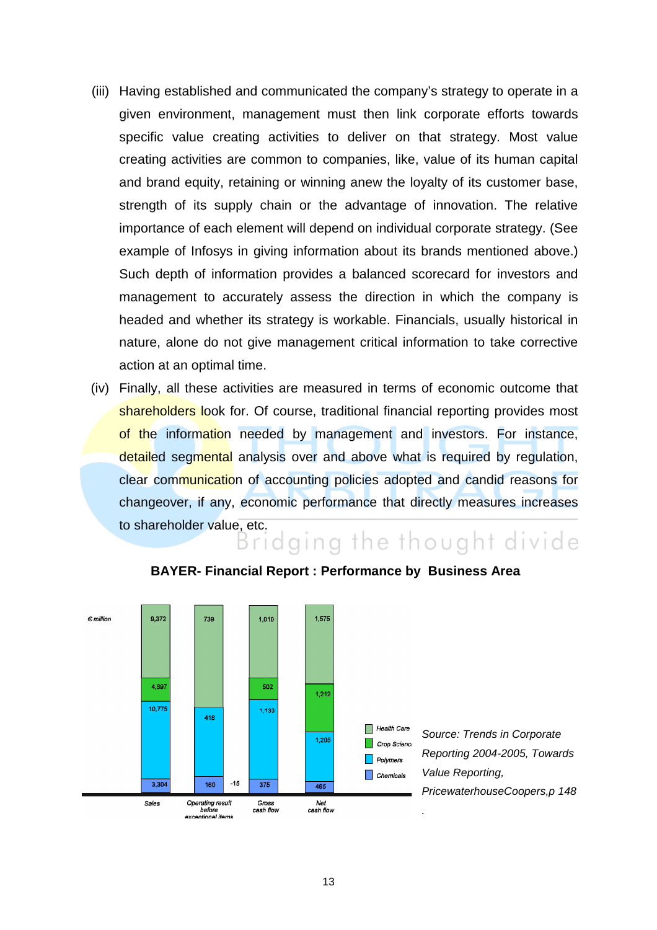- (iii) Having established and communicated the company's strategy to operate in a given environment, management must then link corporate efforts towards specific value creating activities to deliver on that strategy. Most value creating activities are common to companies, like, value of its human capital and brand equity, retaining or winning anew the loyalty of its customer base, strength of its supply chain or the advantage of innovation. The relative importance of each element will depend on individual corporate strategy. (See example of Infosys in giving information about its brands mentioned above.) Such depth of information provides a balanced scorecard for investors and management to accurately assess the direction in which the company is headed and whether its strategy is workable. Financials, usually historical in nature, alone do not give management critical information to take corrective action at an optimal time.
- (iv) Finally, all these activities are measured in terms of economic outcome that shareholders look for. Of course, traditional financial reporting provides most of the information needed by management and investors. For instance, detailed segmental analysis over and above what is required by regulation, clear communication of accounting policies adopted and candid reasons for changeover, if any, economic performance that directly measures increases to shareholder value, etc.<br>Bridging the thought divide



#### **BAYER- Financial Report : Performance by Business Area**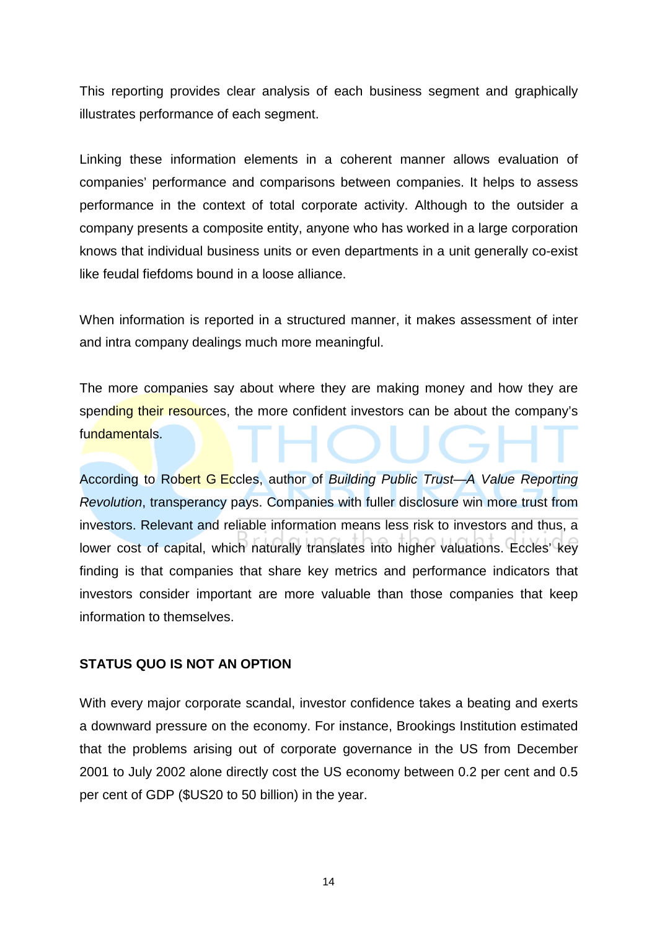This reporting provides clear analysis of each business segment and graphically illustrates performance of each segment.

Linking these information elements in a coherent manner allows evaluation of companies' performance and comparisons between companies. It helps to assess performance in the context of total corporate activity. Although to the outsider a company presents a composite entity, anyone who has worked in a large corporation knows that individual business units or even departments in a unit generally co-exist like feudal fiefdoms bound in a loose alliance.

When information is reported in a structured manner, it makes assessment of inter and intra company dealings much more meaningful.

The more companies say about where they are making money and how they are spending their resources, the more confident investors can be about the company's fundamentals.

According to Robert G Eccles, author of Building Public Trust—A Value Reporting Revolution, transperancy pays. Companies with fuller disclosure win more trust from investors. Relevant and reliable information means less risk to investors and thus, a lower cost of capital, which naturally translates into higher valuations. Eccles' key finding is that companies that share key metrics and performance indicators that investors consider important are more valuable than those companies that keep information to themselves.

#### **STATUS QUO IS NOT AN OPTION**

With every major corporate scandal, investor confidence takes a beating and exerts a downward pressure on the economy. For instance, Brookings Institution estimated that the problems arising out of corporate governance in the US from December 2001 to July 2002 alone directly cost the US economy between 0.2 per cent and 0.5 per cent of GDP (\$US20 to 50 billion) in the year.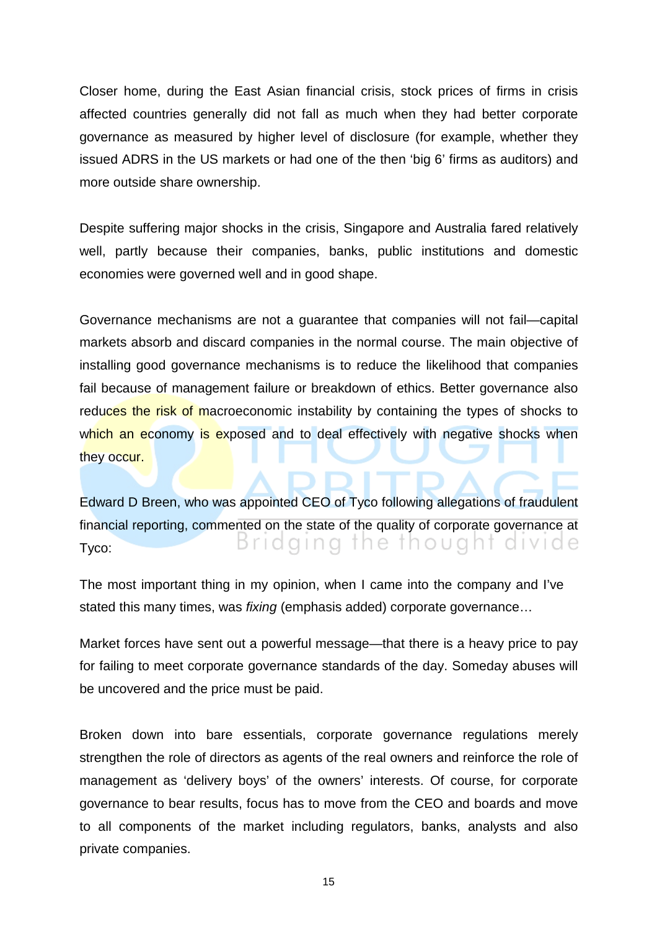Closer home, during the East Asian financial crisis, stock prices of firms in crisis affected countries generally did not fall as much when they had better corporate governance as measured by higher level of disclosure (for example, whether they issued ADRS in the US markets or had one of the then 'big 6' firms as auditors) and more outside share ownership.

Despite suffering major shocks in the crisis, Singapore and Australia fared relatively well, partly because their companies, banks, public institutions and domestic economies were governed well and in good shape.

Governance mechanisms are not a guarantee that companies will not fail—capital markets absorb and discard companies in the normal course. The main objective of installing good governance mechanisms is to reduce the likelihood that companies fail because of management failure or breakdown of ethics. Better governance also reduces the risk of macroeconomic instability by containing the types of shocks to which an economy is exposed and to deal effectively with negative shocks when they occur.

Edward D Breen, who was appointed CEO of Tyco following allegations of fraudulent financial reporting, commented on the state of the quality of corporate governance at Bridging the thought divide Tyco:

The most important thing in my opinion, when I came into the company and I've stated this many times, was fixing (emphasis added) corporate governance…

Market forces have sent out a powerful message—that there is a heavy price to pay for failing to meet corporate governance standards of the day. Someday abuses will be uncovered and the price must be paid.

Broken down into bare essentials, corporate governance regulations merely strengthen the role of directors as agents of the real owners and reinforce the role of management as 'delivery boys' of the owners' interests. Of course, for corporate governance to bear results, focus has to move from the CEO and boards and move to all components of the market including regulators, banks, analysts and also private companies.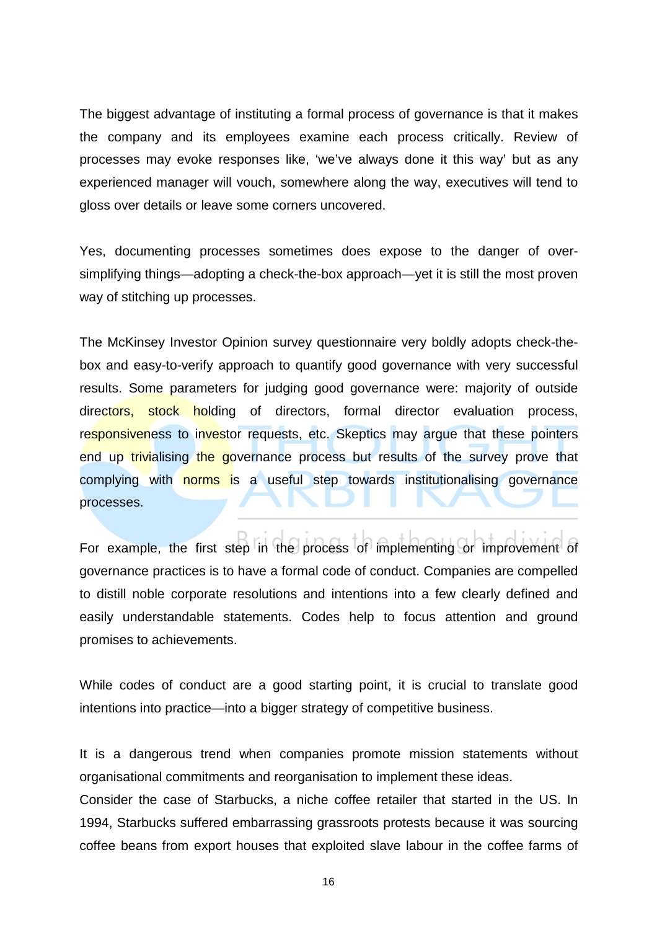The biggest advantage of instituting a formal process of governance is that it makes the company and its employees examine each process critically. Review of processes may evoke responses like, 'we've always done it this way' but as any experienced manager will vouch, somewhere along the way, executives will tend to gloss over details or leave some corners uncovered.

Yes, documenting processes sometimes does expose to the danger of oversimplifying things—adopting a check-the-box approach—yet it is still the most proven way of stitching up processes.

The McKinsey Investor Opinion survey questionnaire very boldly adopts check-thebox and easy-to-verify approach to quantify good governance with very successful results. Some parameters for judging good governance were: majority of outside directors, stock holding of directors, formal director evaluation process, responsiveness to investor requests, etc. Skeptics may argue that these pointers end up trivialising the governance process but results of the survey prove that complying with norms is a useful step towards institutionalising governance processes.

For example, the first step in the process of implementing or improvement of governance practices is to have a formal code of conduct. Companies are compelled to distill noble corporate resolutions and intentions into a few clearly defined and easily understandable statements. Codes help to focus attention and ground promises to achievements.

While codes of conduct are a good starting point, it is crucial to translate good intentions into practice—into a bigger strategy of competitive business.

It is a dangerous trend when companies promote mission statements without organisational commitments and reorganisation to implement these ideas.

Consider the case of Starbucks, a niche coffee retailer that started in the US. In 1994, Starbucks suffered embarrassing grassroots protests because it was sourcing coffee beans from export houses that exploited slave labour in the coffee farms of